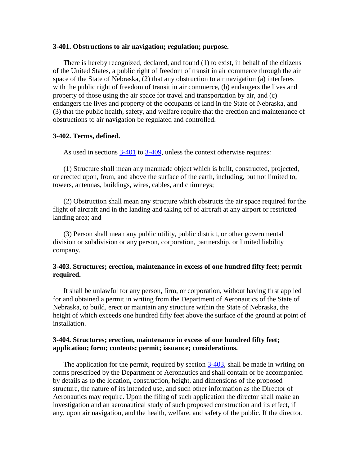#### **3-401. Obstructions to air navigation; regulation; purpose.**

There is hereby recognized, declared, and found (1) to exist, in behalf of the citizens of the United States, a public right of freedom of transit in air commerce through the air space of the State of Nebraska, (2) that any obstruction to air navigation (a) interferes with the public right of freedom of transit in air commerce, (b) endangers the lives and property of those using the air space for travel and transportation by air, and (c) endangers the lives and property of the occupants of land in the State of Nebraska, and (3) that the public health, safety, and welfare require that the erection and maintenance of obstructions to air navigation be regulated and controlled.

### **3-402. Terms, defined.**

As used in sections [3-401](http://uniweb.legislature.ne.gov/laws/statutes.php?statute=3-401) to [3-409,](http://uniweb.legislature.ne.gov/laws/statutes.php?statute=3-409) unless the context otherwise requires:

(1) Structure shall mean any manmade object which is built, constructed, projected, or erected upon, from, and above the surface of the earth, including, but not limited to, towers, antennas, buildings, wires, cables, and chimneys;

(2) Obstruction shall mean any structure which obstructs the air space required for the flight of aircraft and in the landing and taking off of aircraft at any airport or restricted landing area; and

(3) Person shall mean any public utility, public district, or other governmental division or subdivision or any person, corporation, partnership, or limited liability company.

# **3-403. Structures; erection, maintenance in excess of one hundred fifty feet; permit required.**

It shall be unlawful for any person, firm, or corporation, without having first applied for and obtained a permit in writing from the Department of Aeronautics of the State of Nebraska, to build, erect or maintain any structure within the State of Nebraska, the height of which exceeds one hundred fifty feet above the surface of the ground at point of installation.

## **3-404. Structures; erection, maintenance in excess of one hundred fifty feet; application; form; contents; permit; issuance; considerations.**

The application for the permit, required by section [3-403,](http://uniweb.legislature.ne.gov/laws/statutes.php?statute=3-403) shall be made in writing on forms prescribed by the Department of Aeronautics and shall contain or be accompanied by details as to the location, construction, height, and dimensions of the proposed structure, the nature of its intended use, and such other information as the Director of Aeronautics may require. Upon the filing of such application the director shall make an investigation and an aeronautical study of such proposed construction and its effect, if any, upon air navigation, and the health, welfare, and safety of the public. If the director,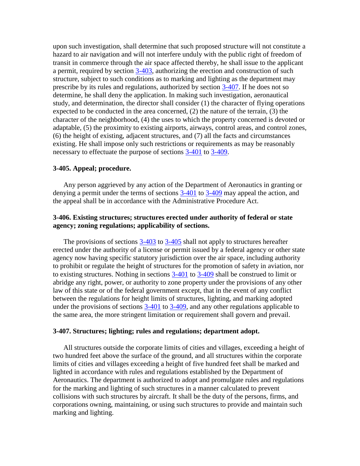upon such investigation, shall determine that such proposed structure will not constitute a hazard to air navigation and will not interfere unduly with the public right of freedom of transit in commerce through the air space affected thereby, he shall issue to the applicant a permit, required by section [3-403,](http://uniweb.legislature.ne.gov/laws/statutes.php?statute=3-403) authorizing the erection and construction of such structure, subject to such conditions as to marking and lighting as the department may prescribe by its rules and regulations, authorized by section [3-407.](http://uniweb.legislature.ne.gov/laws/statutes.php?statute=3-407) If he does not so determine, he shall deny the application. In making such investigation, aeronautical study, and determination, the director shall consider (1) the character of flying operations expected to be conducted in the area concerned, (2) the nature of the terrain, (3) the character of the neighborhood, (4) the uses to which the property concerned is devoted or adaptable, (5) the proximity to existing airports, airways, control areas, and control zones, (6) the height of existing, adjacent structures, and (7) all the facts and circumstances existing. He shall impose only such restrictions or requirements as may be reasonably necessary to effectuate the purpose of sections [3-401](http://uniweb.legislature.ne.gov/laws/statutes.php?statute=3-401) to [3-409.](http://uniweb.legislature.ne.gov/laws/statutes.php?statute=3-409)

### **3-405. Appeal; procedure.**

Any person aggrieved by any action of the Department of Aeronautics in granting or denying a permit under the terms of sections [3-401](http://uniweb.legislature.ne.gov/laws/statutes.php?statute=3-401) to [3-409](http://uniweb.legislature.ne.gov/laws/statutes.php?statute=3-409) may appeal the action, and the appeal shall be in accordance with the Administrative Procedure Act.

## **3-406. Existing structures; structures erected under authority of federal or state agency; zoning regulations; applicability of sections.**

The provisions of sections [3-403](http://uniweb.legislature.ne.gov/laws/statutes.php?statute=3-403) to [3-405](http://uniweb.legislature.ne.gov/laws/statutes.php?statute=3-405) shall not apply to structures hereafter erected under the authority of a license or permit issued by a federal agency or other state agency now having specific statutory jurisdiction over the air space, including authority to prohibit or regulate the height of structures for the promotion of safety in aviation, nor to existing structures. Nothing in sections [3-401](http://uniweb.legislature.ne.gov/laws/statutes.php?statute=3-401) to [3-409](http://uniweb.legislature.ne.gov/laws/statutes.php?statute=3-409) shall be construed to limit or abridge any right, power, or authority to zone property under the provisions of any other law of this state or of the federal government except, that in the event of any conflict between the regulations for height limits of structures, lighting, and marking adopted under the provisions of sections  $3-401$  to  $3-409$ , and any other regulations applicable to the same area, the more stringent limitation or requirement shall govern and prevail.

#### **3-407. Structures; lighting; rules and regulations; department adopt.**

All structures outside the corporate limits of cities and villages, exceeding a height of two hundred feet above the surface of the ground, and all structures within the corporate limits of cities and villages exceeding a height of five hundred feet shall be marked and lighted in accordance with rules and regulations established by the Department of Aeronautics. The department is authorized to adopt and promulgate rules and regulations for the marking and lighting of such structures in a manner calculated to prevent collisions with such structures by aircraft. It shall be the duty of the persons, firms, and corporations owning, maintaining, or using such structures to provide and maintain such marking and lighting.